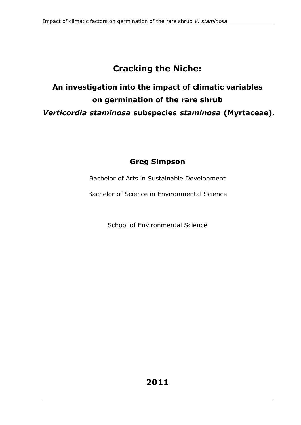# **Cracking the Niche:**

# **An investigation into the impact of climatic variables on germination of the rare shrub** *Verticordia staminosa* **subspecies** *staminosa* **(Myrtaceae).**

## **Greg Simpson**

Bachelor of Arts in Sustainable Development

Bachelor of Science in Environmental Science

School of Environmental Science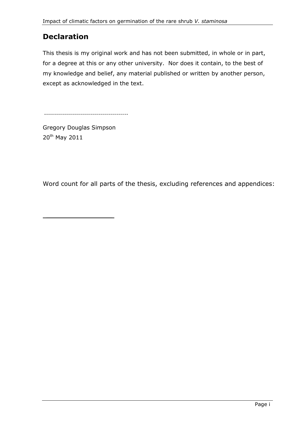## **Declaration**

This thesis is my original work and has not been submitted, in whole or in part, for a degree at this or any other university. Nor does it contain, to the best of my knowledge and belief, any material published or written by another person, except as acknowledged in the text.

..........................................

Gregory Douglas Simpson 20th May 2011

 $\mathcal{L}_\text{max}$  , where  $\mathcal{L}_\text{max}$ 

Word count for all parts of the thesis, excluding references and appendices: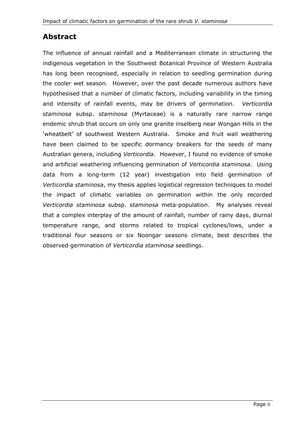### **Abstract**

The influence of annual rainfall and a Mediterranean climate in structuring the indigenous vegetation in the Southwest Botanical Province of Western Australia has long been recognised, especially in relation to seedling germination during the cooler wet season. However, over the past decade numerous authors have hypothesised that a number of climatic factors, including variability in the timing and intensity of rainfall events, may be drivers of germination. *Verticordia staminosa* subsp. *staminosa* (Myrtaceae) is a naturally rare narrow range endemic shrub that occurs on only one granite inselberg near Wongan Hills in the 'wheatbelt' of southwest Western Australia. Smoke and fruit wall weathering have been claimed to be specific dormancy breakers for the seeds of many Australian genera, including *Verticordia*. However, I found no evidence of smoke and artificial weathering influencing germination of *Verticordia staminosa.* Using data from a long-term (12 year) investigation into field germination of *Verticordia staminosa*, my thesis applies logistical regression techniques to model the impact of climatic variables on germination within the only recorded *Verticordia staminosa* subsp. *staminosa* meta-population. My analyses reveal that a complex interplay of the amount of rainfall, number of rainy days, diurnal temperature range, and storms related to tropical cyclones/lows, under a traditional four seasons or six Noongar seasons climate, best describes the observed germination of *Verticordia staminosa* seedlings.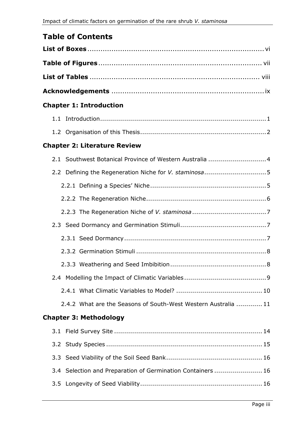## **Table of Contents**

| <b>Chapter 1: Introduction</b>                                 |
|----------------------------------------------------------------|
|                                                                |
|                                                                |
| <b>Chapter 2: Literature Review</b>                            |
| 2.1 Southwest Botanical Province of Western Australia  4       |
|                                                                |
|                                                                |
|                                                                |
|                                                                |
|                                                                |
|                                                                |
|                                                                |
|                                                                |
|                                                                |
|                                                                |
| 2.4.2 What are the Seasons of South-West Western Australia  11 |
| <b>Chapter 3: Methodology</b>                                  |
|                                                                |
|                                                                |
| 3.3 <sub>1</sub>                                               |
| 3.4 Selection and Preparation of Germination Containers  16    |
|                                                                |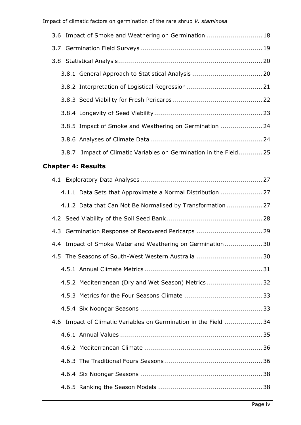| 3.6 Impact of Smoke and Weathering on Germination  18             |  |
|-------------------------------------------------------------------|--|
|                                                                   |  |
|                                                                   |  |
|                                                                   |  |
|                                                                   |  |
|                                                                   |  |
|                                                                   |  |
| 3.8.5 Impact of Smoke and Weathering on Germination  24           |  |
|                                                                   |  |
| 3.8.7 Impact of Climatic Variables on Germination in the Field 25 |  |
| <b>Chapter 4: Results</b>                                         |  |
|                                                                   |  |
| 1 1 1 Data Cotc that Approximate a Normal Dictribution 27         |  |

| 4.1.1 Data Sets that Approximate a Normal Distribution  27       |  |
|------------------------------------------------------------------|--|
| 4.1.2 Data that Can Not Be Normalised by Transformation 27       |  |
|                                                                  |  |
| 4.3 Germination Response of Recovered Pericarps  29              |  |
| 4.4 Impact of Smoke Water and Weathering on Germination 30       |  |
| 4.5 The Seasons of South-West Western Australia  30              |  |
|                                                                  |  |
| 4.5.2 Mediterranean (Dry and Wet Season) Metrics32               |  |
|                                                                  |  |
|                                                                  |  |
| 4.6 Impact of Climatic Variables on Germination in the Field  34 |  |
|                                                                  |  |
|                                                                  |  |
|                                                                  |  |
|                                                                  |  |
|                                                                  |  |
|                                                                  |  |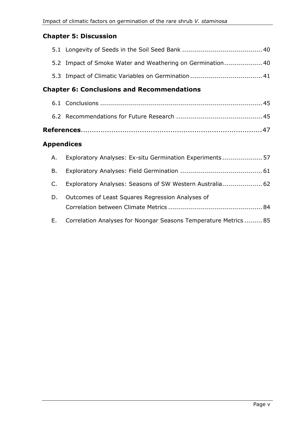#### **Chapter 5: Discussion**

|                                                   | 5.2 Impact of Smoke Water and Weathering on Germination 40 |  |
|---------------------------------------------------|------------------------------------------------------------|--|
|                                                   |                                                            |  |
| <b>Chapter 6: Conclusions and Recommendations</b> |                                                            |  |
|                                                   |                                                            |  |
|                                                   |                                                            |  |
|                                                   |                                                            |  |

#### **Appendices**

| A.      | Exploratory Analyses: Ex-situ Germination Experiments 57         |  |
|---------|------------------------------------------------------------------|--|
| В.      |                                                                  |  |
| $C_{1}$ | Exploratory Analyses: Seasons of SW Western Australia 62         |  |
| D.      | Outcomes of Least Squares Regression Analyses of                 |  |
| E.      | Correlation Analyses for Noongar Seasons Temperature Metrics  85 |  |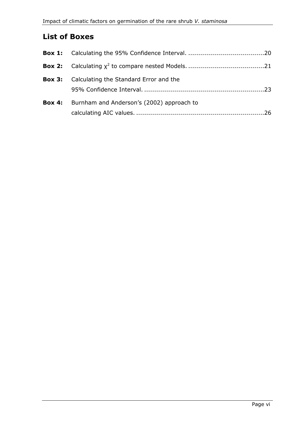## **List of Boxes**

| <b>Box 3:</b> Calculating the Standard Error and the    |  |
|---------------------------------------------------------|--|
| <b>Box 4:</b> Burnham and Anderson's (2002) approach to |  |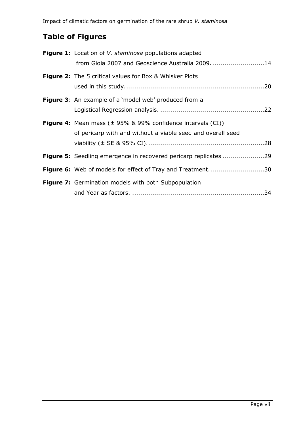## **Table of Figures**

| <b>Figure 1:</b> Location of <i>V. staminosa</i> populations adapted      |
|---------------------------------------------------------------------------|
| from Gioia 2007 and Geoscience Australia 200914                           |
| <b>Figure 2:</b> The 5 critical values for Box & Whisker Plots            |
|                                                                           |
| <b>Figure 3:</b> An example of a 'model web' produced from a              |
|                                                                           |
| <b>Figure 4:</b> Mean mass $(\pm 95\% \& 99\%$ confidence intervals (CI)) |
| of pericarp with and without a viable seed and overall seed               |
|                                                                           |
| Figure 5: Seedling emergence in recovered pericarp replicates 29          |
| Figure 6: Web of models for effect of Tray and Treatment30                |
| Figure 7: Germination models with both Subpopulation                      |
|                                                                           |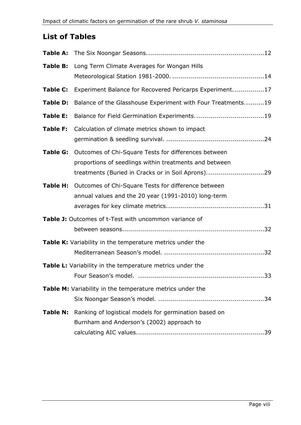## **List of Tables**

| Table B:        | Long Term Climate Averages for Wongan Hills                                                                                                                         |
|-----------------|---------------------------------------------------------------------------------------------------------------------------------------------------------------------|
| Table C:        | Experiment Balance for Recovered Pericarps Experiment17                                                                                                             |
| Table D:        | Balance of the Glasshouse Experiment with Four Treatments19                                                                                                         |
| Table E:        |                                                                                                                                                                     |
| <b>Table F:</b> | Calculation of climate metrics shown to impact                                                                                                                      |
| Table G:        | Outcomes of Chi-Square Tests for differences between<br>proportions of seedlings within treatments and between<br>treatments (Buried in Cracks or in Soil Aprons)29 |
|                 | Table H: Outcomes of Chi-Square Tests for difference between<br>annual values and the 20 year (1991-2010) long-term                                                 |
|                 | Table J: Outcomes of t-Test with uncommon variance of                                                                                                               |
|                 | Table K: Variability in the temperature metrics under the                                                                                                           |
|                 | Table L: Variability in the temperature metrics under the<br>33                                                                                                     |
|                 | Table M: Variability in the temperature metrics under the                                                                                                           |
| <b>Table N:</b> | Ranking of logistical models for germination based on<br>Burnham and Anderson's (2002) approach to                                                                  |